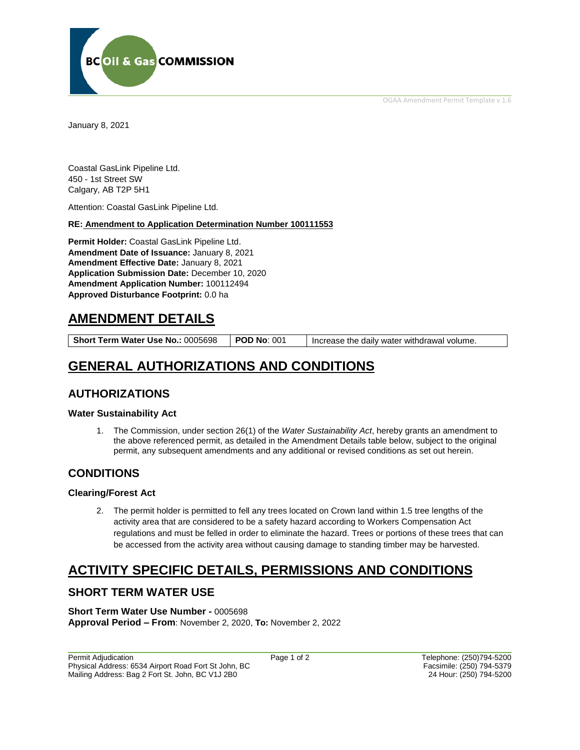OGAA Amendment Permit Template v 1.6



January 8, 2021

Coastal GasLink Pipeline Ltd. 450 - 1st Street SW Calgary, AB T2P 5H1

Attention: Coastal GasLink Pipeline Ltd.

### **RE: Amendment to Application Determination Number 100111553**

**Permit Holder:** Coastal GasLink Pipeline Ltd. **Amendment Date of Issuance:** January 8, 2021 **Amendment Effective Date:** January 8, 2021 **Application Submission Date:** December 10, 2020 **Amendment Application Number:** 100112494 **Approved Disturbance Footprint:** 0.0 ha

## **AMENDMENT DETAILS**

**Short Term Water Use No.:** 0005698 **POD No**: 001 | Increase the daily water withdrawal volume.

# **GENERAL AUTHORIZATIONS AND CONDITIONS**

### **AUTHORIZATIONS**

### **Water Sustainability Act**

1. The Commission, under section 26(1) of the *Water Sustainability Act*, hereby grants an amendment to the above referenced permit, as detailed in the Amendment Details table below, subject to the original permit, any subsequent amendments and any additional or revised conditions as set out herein.

### **CONDITIONS**

### **Clearing/Forest Act**

2. The permit holder is permitted to fell any trees located on Crown land within 1.5 tree lengths of the activity area that are considered to be a safety hazard according to Workers Compensation Act regulations and must be felled in order to eliminate the hazard. Trees or portions of these trees that can be accessed from the activity area without causing damage to standing timber may be harvested.

# **ACTIVITY SPECIFIC DETAILS, PERMISSIONS AND CONDITIONS**

### **SHORT TERM WATER USE**

**Short Term Water Use Number -** 0005698 **Approval Period – From**: November 2, 2020, **To:** November 2, 2022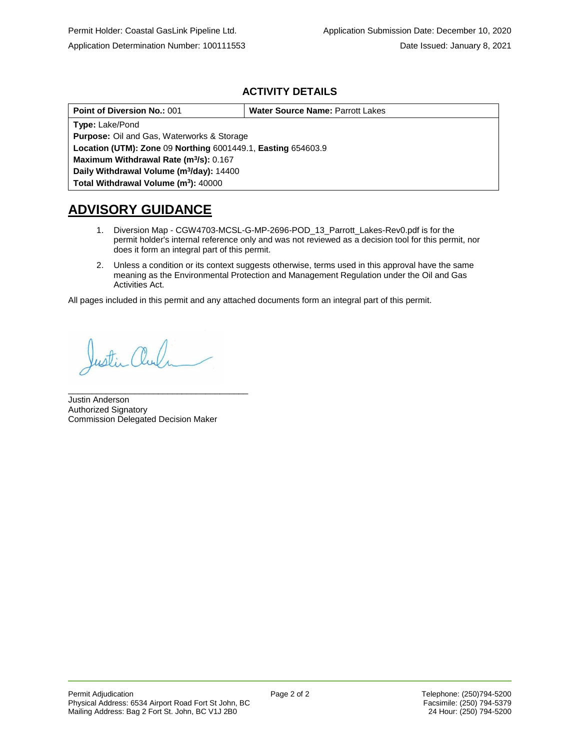### **ACTIVITY DETAILS**

| <b>Point of Diversion No.: 001</b>                           | <b>Water Source Name: Parrott Lakes</b> |  |
|--------------------------------------------------------------|-----------------------------------------|--|
| <b>Type: Lake/Pond</b>                                       |                                         |  |
| <b>Purpose:</b> Oil and Gas, Waterworks & Storage            |                                         |  |
| Location (UTM): Zone 09 Northing 6001449.1, Easting 654603.9 |                                         |  |
| Maximum Withdrawal Rate (m <sup>3</sup> /s): 0.167           |                                         |  |
| Daily Withdrawal Volume (m <sup>3</sup> /day): 14400         |                                         |  |
| Total Withdrawal Volume (m <sup>3</sup> ): 40000             |                                         |  |

# **ADVISORY GUIDANCE**

- 1. Diversion Map CGW4703-MCSL-G-MP-2696-POD\_13\_Parrott\_Lakes-Rev0.pdf is for the permit holder's internal reference only and was not reviewed as a decision tool for this permit, nor does it form an integral part of this permit.
- 2. Unless a condition or its context suggests otherwise, terms used in this approval have the same meaning as the Environmental Protection and Management Regulation under the Oil and Gas Activities Act.

All pages included in this permit and any attached documents form an integral part of this permit.

Justin Chu

\_\_\_\_\_\_\_\_\_\_\_\_\_\_\_\_\_\_\_\_\_\_\_\_\_\_\_\_\_\_\_\_\_\_\_\_\_\_

Justin Anderson Authorized Signatory Commission Delegated Decision Maker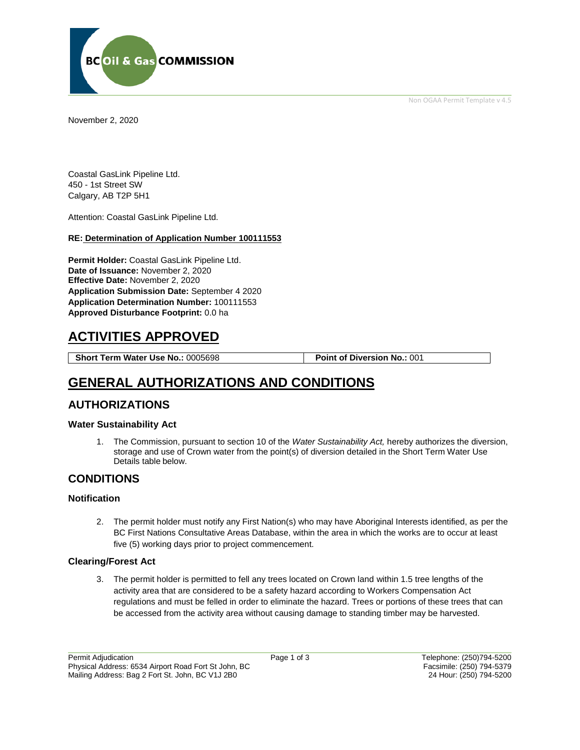Non OGAA Permit Template v 4.5



November 2, 2020

Coastal GasLink Pipeline Ltd. 450 - 1st Street SW Calgary, AB T2P 5H1

Attention: Coastal GasLink Pipeline Ltd.

### **RE: Determination of Application Number 100111553**

**Permit Holder:** Coastal GasLink Pipeline Ltd. **Date of Issuance:** November 2, 2020 **Effective Date:** November 2, 2020 **Application Submission Date:** September 4 2020 **Application Determination Number:** 100111553 **Approved Disturbance Footprint:** 0.0 ha

# **ACTIVITIES APPROVED**

**Short Term Water Use No.:** 0005698 **Point of Diversion No.:** 001

# **GENERAL AUTHORIZATIONS AND CONDITIONS**

### **AUTHORIZATIONS**

### **Water Sustainability Act**

1. The Commission, pursuant to section 10 of the *Water Sustainability Act,* hereby authorizes the diversion, storage and use of Crown water from the point(s) of diversion detailed in the Short Term Water Use Details table below.

### **CONDITIONS**

### **Notification**

2. The permit holder must notify any First Nation(s) who may have Aboriginal Interests identified, as per the BC First Nations Consultative Areas Database, within the area in which the works are to occur at least five (5) working days prior to project commencement.

### **Clearing/Forest Act**

3. The permit holder is permitted to fell any trees located on Crown land within 1.5 tree lengths of the activity area that are considered to be a safety hazard according to Workers Compensation Act regulations and must be felled in order to eliminate the hazard. Trees or portions of these trees that can be accessed from the activity area without causing damage to standing timber may be harvested.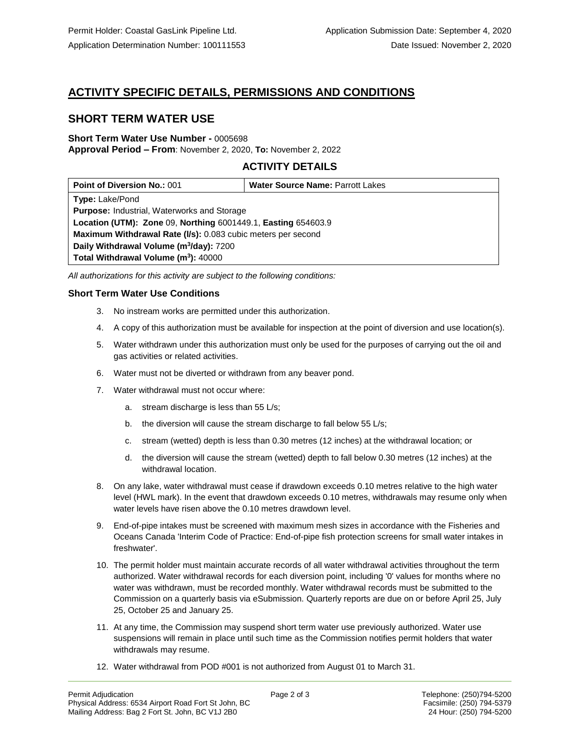### **ACTIVITY SPECIFIC DETAILS, PERMISSIONS AND CONDITIONS**

### **SHORT TERM WATER USE**

## **Short Term Water Use Number -** 0005698

**Approval Period – From**: November 2, 2020, **To:** November 2, 2022

### **ACTIVITY DETAILS**

| <b>Point of Diversion No.: 001</b>                            | <b>Water Source Name: Parrott Lakes</b> |  |
|---------------------------------------------------------------|-----------------------------------------|--|
| <b>Type: Lake/Pond</b>                                        |                                         |  |
| <b>Purpose: Industrial, Waterworks and Storage</b>            |                                         |  |
| Location (UTM): Zone 09, Northing 6001449.1, Easting 654603.9 |                                         |  |
| Maximum Withdrawal Rate (I/s): 0.083 cubic meters per second  |                                         |  |
| Daily Withdrawal Volume (m <sup>3</sup> /day): 7200           |                                         |  |
| Total Withdrawal Volume (m <sup>3</sup> ): 40000              |                                         |  |

*All authorizations for this activity are subject to the following conditions:*

### **Short Term Water Use Conditions**

- 3. No instream works are permitted under this authorization.
- 4. A copy of this authorization must be available for inspection at the point of diversion and use location(s).
- 5. Water withdrawn under this authorization must only be used for the purposes of carrying out the oil and gas activities or related activities.
- 6. Water must not be diverted or withdrawn from any beaver pond.
- 7. Water withdrawal must not occur where:
	- a. stream discharge is less than 55 L/s;
	- b. the diversion will cause the stream discharge to fall below 55 L/s;
	- c. stream (wetted) depth is less than 0.30 metres (12 inches) at the withdrawal location; or
	- d. the diversion will cause the stream (wetted) depth to fall below 0.30 metres (12 inches) at the withdrawal location.
- 8. On any lake, water withdrawal must cease if drawdown exceeds 0.10 metres relative to the high water level (HWL mark). In the event that drawdown exceeds 0.10 metres, withdrawals may resume only when water levels have risen above the 0.10 metres drawdown level.
- 9. End-of-pipe intakes must be screened with maximum mesh sizes in accordance with the Fisheries and Oceans Canada 'Interim Code of Practice: End-of-pipe fish protection screens for small water intakes in freshwater'.
- 10. The permit holder must maintain accurate records of all water withdrawal activities throughout the term authorized. Water withdrawal records for each diversion point, including '0' values for months where no water was withdrawn, must be recorded monthly. Water withdrawal records must be submitted to the Commission on a quarterly basis via eSubmission. Quarterly reports are due on or before April 25, July 25, October 25 and January 25.
- 11. At any time, the Commission may suspend short term water use previously authorized. Water use suspensions will remain in place until such time as the Commission notifies permit holders that water withdrawals may resume.
- 12. Water withdrawal from POD #001 is not authorized from August 01 to March 31.